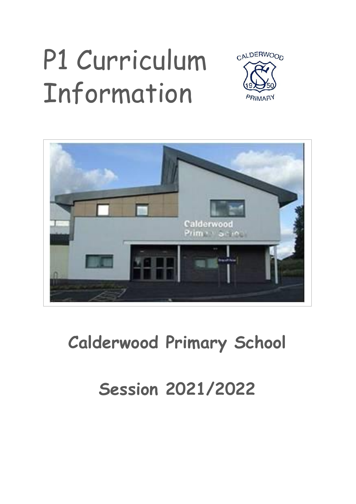# P1 Curriculum Information





### **Calderwood Primary School**

### **Session 2021/2022**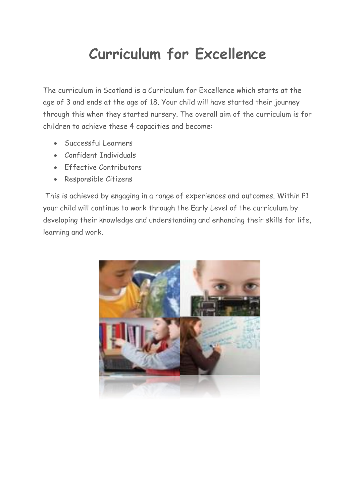#### **Curriculum for Excellence**

The curriculum in Scotland is a Curriculum for Excellence which starts at the age of 3 and ends at the age of 18. Your child will have started their journey through this when they started nursery. The overall aim of the curriculum is for children to achieve these 4 capacities and become:

- Successful Learners
- Confident Individuals
- Effective Contributors
- Responsible Citizens

This is achieved by engaging in a range of experiences and outcomes. Within P1 your child will continue to work through the Early Level of the curriculum by developing their knowledge and understanding and enhancing their skills for life, learning and work.

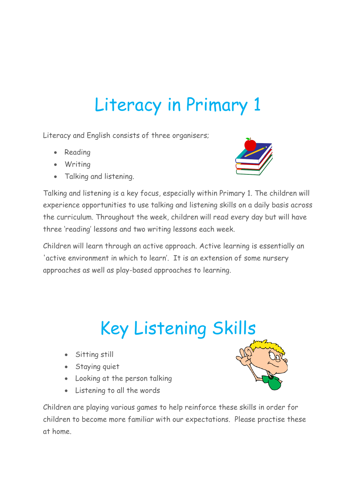### Literacy in Primary 1

Literacy and English consists of three organisers;

- Reading
- Writing
- Talking and listening.



Talking and listening is a key focus, especially within Primary 1. The children will experience opportunities to use talking and listening skills on a daily basis across the curriculum. Throughout the week, children will read every day but will have three 'reading' lessons and two writing lessons each week.

Children will learn through an active approach. Active learning is essentially an 'active environment in which to learn'. It is an extension of some nursery approaches as well as play-based approaches to learning.

### Key Listening Skills

- Sitting still
- Staying quiet
- Looking at the person talking
- Listening to all the words



Children are playing various games to help reinforce these skills in order for children to become more familiar with our expectations. Please practise these at home.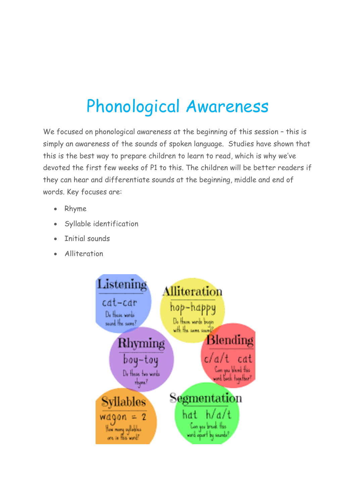### Phonological Awareness

We focused on phonological awareness at the beginning of this session - this is simply an awareness of the sounds of spoken language. Studies have shown that this is the best way to prepare children to learn to read, which is why we've devoted the first few weeks of P1 to this. The children will be better readers if they can hear and differentiate sounds at the beginning, middle and end of words. Key focuses are:

- Rhyme
- Syllable identification
- Initial sounds
- Alliteration

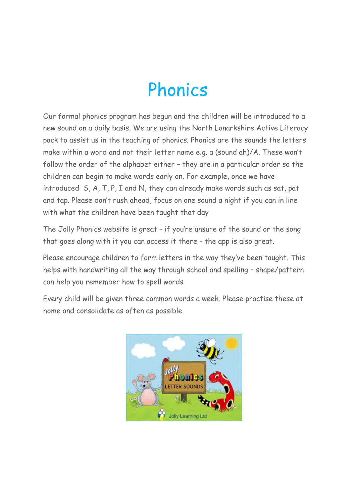### Phonics

Our formal phonics program has begun and the children will be introduced to a new sound on a daily basis. We are using the North Lanarkshire Active Literacy pack to assist us in the teaching of phonics. Phonics are the sounds the letters make within a word and not their letter name e.g. a (sound ah)/A. These won't follow the order of the alphabet either – they are in a particular order so the children can begin to make words early on. For example, once we have introduced S, A, T, P, I and N, they can already make words such as sat, pat and tap. Please don't rush ahead, focus on one sound a night if you can in line with what the children have been taught that day

The Jolly Phonics website is great – if you're unsure of the sound or the song that goes along with it you can access it there - the app is also great.

Please encourage children to form letters in the way they've been taught. This helps with handwriting all the way through school and spelling – shape/pattern can help you remember how to spell words

Every child will be given three common words a week. Please practise these at home and consolidate as often as possible.

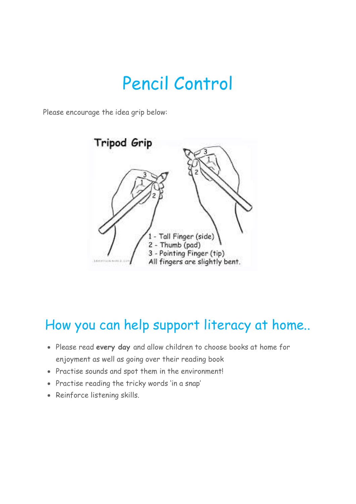### Pencil Control

Please encourage the idea grip below:



#### How you can help support literacy at home..

- Please read **every day** and allow children to choose books at home for enjoyment as well as going over their reading book
- Practise sounds and spot them in the environment!
- Practise reading the tricky words 'in a snap'
- Reinforce listening skills.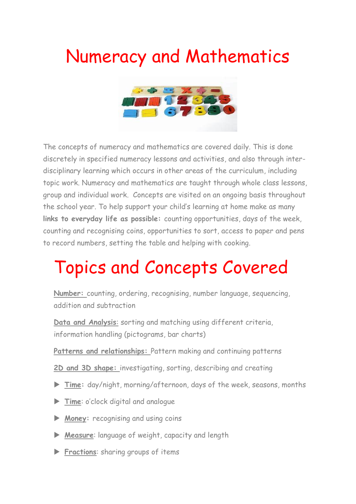### Numeracy and Mathematics



The concepts of numeracy and mathematics are covered daily. This is done discretely in specified numeracy lessons and activities, and also through interdisciplinary learning which occurs in other areas of the curriculum, including topic work. Numeracy and mathematics are taught through whole class lessons, group and individual work. Concepts are visited on an ongoing basis throughout the school year. To help support your child's learning at home make as many **links to everyday life as possible:** counting opportunities, days of the week, counting and recognising coins, opportunities to sort, access to paper and pens to record numbers, setting the table and helping with cooking.

### Topics and Concepts Covered

**Number:** counting, ordering, recognising, number language, sequencing, addition and subtraction

**Data and Analysis**: sorting and matching using different criteria, information handling (pictograms, bar charts)

- **Patterns and relationships:** Pattern making and continuing patterns
- **2D and 3D shape:** investigating, sorting, describing and creating
- **Time:** day/night, morning/afternoon, days of the week, seasons, months
- **Time**: o'clock digital and analogue
- **Money:** recognising and using coins
- **Measure**: language of weight, capacity and length
- **Fractions:** sharing groups of items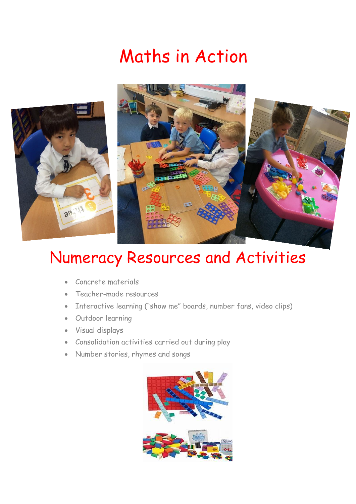### Maths in Action



#### Numeracy Resources and Activities

- Concrete materials
- Teacher-made resources
- Interactive learning ("show me" boards, number fans, video clips)
- Outdoor learning
- Visual displays
- Consolidation activities carried out during play
- Number stories, rhymes and songs

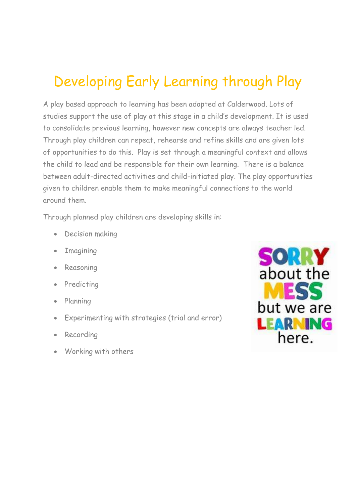#### Developing Early Learning through Play

A play based approach to learning has been adopted at Calderwood. Lots of studies support the use of play at this stage in a child's development. It is used to consolidate previous learning, however new concepts are always teacher led. Through play children can repeat, rehearse and refine skills and are given lots of opportunities to do this. Play is set through a meaningful context and allows the child to lead and be responsible for their own learning. There is a balance between adult-directed activities and child-initiated play. The play opportunities given to children enable them to make meaningful connections to the world around them.

Through planned play children are developing skills in:

- Decision making
- Imagining
- Reasoning
- Predicting
- Planning
- Experimenting with strategies (trial and error)
- Recording
- Working with others

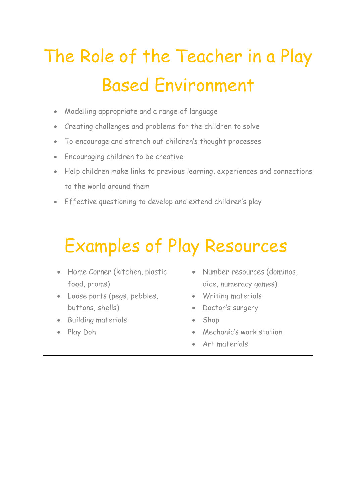## The Role of the Teacher in a Play Based Environment

- Modelling appropriate and a range of language
- Creating challenges and problems for the children to solve
- To encourage and stretch out children's thought processes
- Encouraging children to be creative
- Help children make links to previous learning, experiences and connections to the world around them
- Effective questioning to develop and extend children's play

### Examples of Play Resources

- Home Corner (kitchen, plastic food, prams)
- Loose parts (pegs, pebbles, buttons, shells)
- **•** Building materials
- Play Doh
- Number resources (dominos, dice, numeracy games)
- Writing materials
- Doctor's surgery
- Shop
- Mechanic's work station
- Art materials